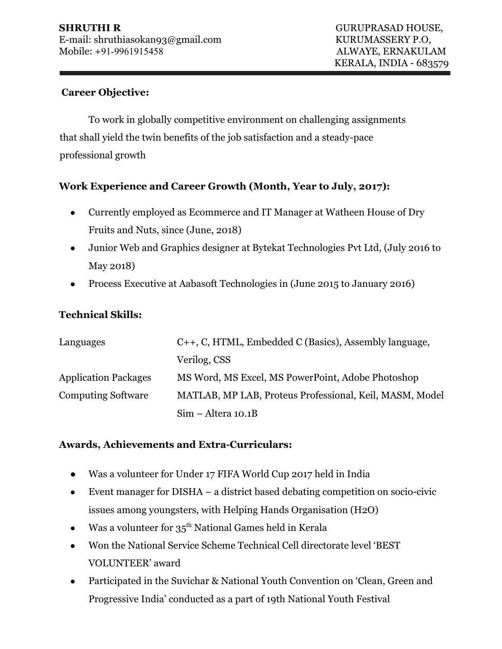#### **Career Objective:**

To work in globally competitive environment on challenging assignments that shall yield the twin benefits of the job satisfaction and a steady-pace professional growth

## **Work Experience and Career Growth (Month, Year to July, 2017):**

- Currently employed as Ecommerce and IT Manager at Watheen House of Dry Fruits and Nuts, since (June, 2018)
- Junior Web and Graphics designer at Bytekat Technologies Pvt Ltd, (July 2016 to May 2018)
- Process Executive at Aabasoft Technologies in (June 2015 to January 2016)

#### **Technical Skills:**

| Languages                   | C++, C, HTML, Embedded C (Basics), Assembly language,   |  |
|-----------------------------|---------------------------------------------------------|--|
|                             | Verilog, CSS                                            |  |
| <b>Application Packages</b> | MS Word, MS Excel, MS PowerPoint, Adobe Photoshop       |  |
| <b>Computing Software</b>   | MATLAB, MP LAB, Proteus Professional, Keil, MASM, Model |  |
|                             | $Sim - Altera 10.1B$                                    |  |

#### **Awards, Achievements and Extra-Curriculars:**

- Was a volunteer for Under 17 FIFA World Cup 2017 held in India
- $\bullet$  Event manager for DISHA a district based debating competition on socio-civic issues among youngsters, with Helping Hands Organisation (H2O)
- Was a volunteer for  $35<sup>th</sup>$  National Games held in Kerala
- Won the National Service Scheme Technical Cell directorate level 'BEST VOLUNTEER' award
- Participated in the Suvichar & National Youth Convention on 'Clean, Green and Progressive India' conducted as a part of 19th National Youth Festival